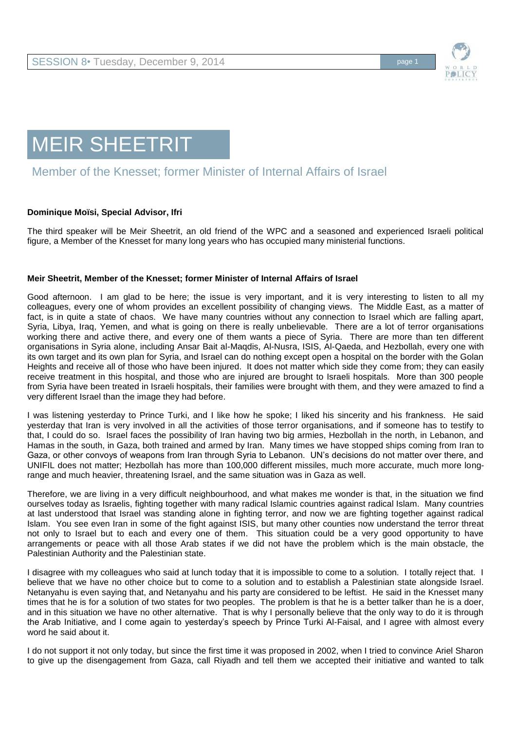

## MEIR SHEETRIT

## Member of the Knesset; former Minister of Internal Affairs of Israel

## **Dominique Moïsi, Special Advisor, Ifri**

The third speaker will be Meir Sheetrit, an old friend of the WPC and a seasoned and experienced Israeli political figure, a Member of the Knesset for many long years who has occupied many ministerial functions.

## **Meir Sheetrit, Member of the Knesset; former Minister of Internal Affairs of Israel**

Good afternoon. I am glad to be here; the issue is very important, and it is very interesting to listen to all my colleagues, every one of whom provides an excellent possibility of changing views. The Middle East, as a matter of fact, is in quite a state of chaos. We have many countries without any connection to Israel which are falling apart, Syria, Libya, Iraq, Yemen, and what is going on there is really unbelievable. There are a lot of terror organisations working there and active there, and every one of them wants a piece of Syria. There are more than ten different organisations in Syria alone, including Ansar Bait al-Maqdis, Al-Nusra, ISIS, Al-Qaeda, and Hezbollah, every one with its own target and its own plan for Syria, and Israel can do nothing except open a hospital on the border with the Golan Heights and receive all of those who have been injured. It does not matter which side they come from; they can easily receive treatment in this hospital, and those who are injured are brought to Israeli hospitals. More than 300 people from Syria have been treated in Israeli hospitals, their families were brought with them, and they were amazed to find a very different Israel than the image they had before.

I was listening yesterday to Prince Turki, and I like how he spoke; I liked his sincerity and his frankness. He said yesterday that Iran is very involved in all the activities of those terror organisations, and if someone has to testify to that, I could do so. Israel faces the possibility of Iran having two big armies, Hezbollah in the north, in Lebanon, and Hamas in the south, in Gaza, both trained and armed by Iran. Many times we have stopped ships coming from Iran to Gaza, or other convoys of weapons from Iran through Syria to Lebanon. UN's decisions do not matter over there, and UNIFIL does not matter; Hezbollah has more than 100,000 different missiles, much more accurate, much more longrange and much heavier, threatening Israel, and the same situation was in Gaza as well.

Therefore, we are living in a very difficult neighbourhood, and what makes me wonder is that, in the situation we find ourselves today as Israelis, fighting together with many radical Islamic countries against radical Islam. Many countries at last understood that Israel was standing alone in fighting terror, and now we are fighting together against radical Islam. You see even Iran in some of the fight against ISIS, but many other counties now understand the terror threat not only to Israel but to each and every one of them. This situation could be a very good opportunity to have arrangements or peace with all those Arab states if we did not have the problem which is the main obstacle, the Palestinian Authority and the Palestinian state.

I disagree with my colleagues who said at lunch today that it is impossible to come to a solution. I totally reject that. I believe that we have no other choice but to come to a solution and to establish a Palestinian state alongside Israel. Netanyahu is even saying that, and Netanyahu and his party are considered to be leftist. He said in the Knesset many times that he is for a solution of two states for two peoples. The problem is that he is a better talker than he is a doer, and in this situation we have no other alternative. That is why I personally believe that the only way to do it is through the Arab Initiative, and I come again to yesterday's speech by Prince Turki Al-Faisal, and I agree with almost every word he said about it.

I do not support it not only today, but since the first time it was proposed in 2002, when I tried to convince Ariel Sharon to give up the disengagement from Gaza, call Riyadh and tell them we accepted their initiative and wanted to talk